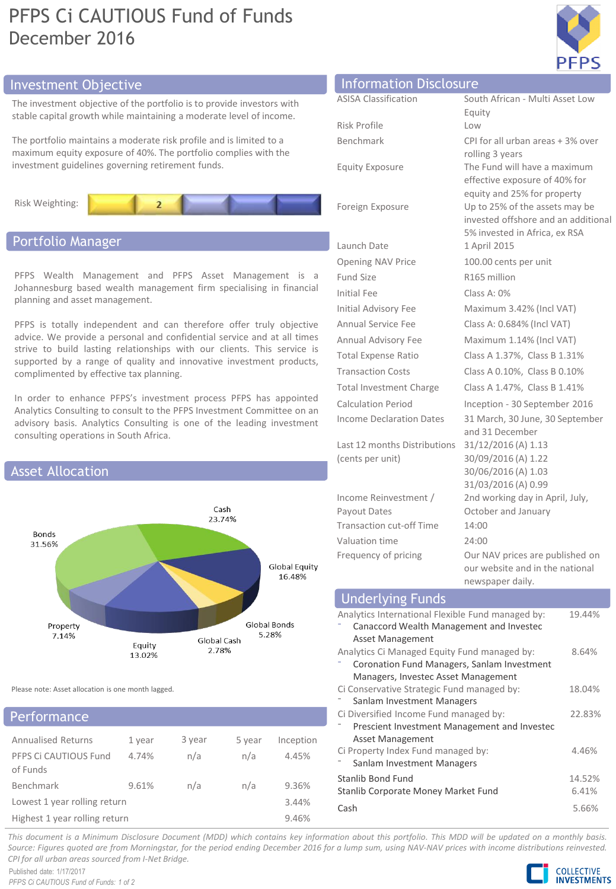# PFPS Ci CAUTIOUS Fund of Funds December 2016



## Investment Objective

The investment objective of the portfolio is to provide investors with stable capital growth while maintaining a moderate level of income.

The portfolio maintains a moderate risk profile and is limited to a maximum equity exposure of 40%. The portfolio complies with the investment guidelines governing retirement funds.



# Portfolio Manager

PFPS Wealth Management and PFPS Asset Management is a Johannesburg based wealth management firm specialising in financial planning and asset management.

PFPS is totally independent and can therefore offer truly objective advice. We provide a personal and confidential service and at all times strive to build lasting relationships with our clients. This service is supported by a range of quality and innovative investment products, complimented by effective tax planning.

In order to enhance PFPS's investment process PFPS has appointed Analytics Consulting to consult to the PFPS Investment Committee on an advisory basis. Analytics Consulting is one of the leading investment consulting operations in South Africa.



Please note: Asset allocation is one month lagged.

## erformance

| <b>Annualised Returns</b>         | 1 year | 3 year | 5 year | Inception |
|-----------------------------------|--------|--------|--------|-----------|
| PFPS Ci CAUTIOUS Fund<br>of Funds | 4.74%  | n/a    | n/a    | 4.45%     |
| Benchmark                         | 9.61%  | n/a    | n/a    | 9.36%     |
| Lowest 1 year rolling return      |        |        |        | 3.44%     |
| Highest 1 year rolling return     |        |        |        | 9.46%     |

| <b>Information Disclosure</b>         |                                                                                                        |
|---------------------------------------|--------------------------------------------------------------------------------------------------------|
| <b>ASISA Classification</b>           | South African - Multi Asset Low                                                                        |
|                                       | Equity                                                                                                 |
| Risk Profile                          | Low                                                                                                    |
| Benchmark                             | CPI for all urban areas + 3% over<br>rolling 3 years                                                   |
| <b>Equity Exposure</b>                | The Fund will have a maximum<br>effective exposure of 40% for<br>equity and 25% for property           |
| Foreign Exposure                      | Up to 25% of the assets may be<br>invested offshore and an additional<br>5% invested in Africa, ex RSA |
| Launch Date                           | 1 April 2015                                                                                           |
| <b>Opening NAV Price</b>              | 100.00 cents per unit                                                                                  |
| <b>Fund Size</b>                      | R165 million                                                                                           |
| Initial Fee                           | Class A: $0\%$                                                                                         |
| <b>Initial Advisory Fee</b>           | Maximum 3.42% (Incl VAT)                                                                               |
| Annual Service Fee                    | Class A: 0.684% (Incl VAT)                                                                             |
| Annual Advisory Fee                   | Maximum 1.14% (Incl VAT)                                                                               |
| <b>Total Expense Ratio</b>            | Class A 1.37%, Class B 1.31%                                                                           |
| <b>Transaction Costs</b>              | Class A 0.10%, Class B 0.10%                                                                           |
| <b>Total Investment Charge</b>        | Class A 1.47%, Class B 1.41%                                                                           |
| <b>Calculation Period</b>             | Inception - 30 September 2016                                                                          |
| <b>Income Declaration Dates</b>       | 31 March, 30 June, 30 September<br>and 31 December                                                     |
| Last 12 months Distributions          | 31/12/2016 (A) 1.13                                                                                    |
| (cents per unit)                      | 30/09/2016 (A) 1.22                                                                                    |
|                                       | 30/06/2016 (A) 1.03                                                                                    |
|                                       | 31/03/2016 (A) 0.99                                                                                    |
| Income Reinvestment /<br>Payout Dates | 2nd working day in April, July,<br>October and January                                                 |
| <b>Transaction cut-off Time</b>       | 14:00                                                                                                  |
| Valuation time                        | 24:00                                                                                                  |
| Frequency of pricing                  | Our NAV prices are published on                                                                        |
|                                       |                                                                                                        |

| HEWSPAPEL UAITY.                                  |        |
|---------------------------------------------------|--------|
| <b>Underlying Funds</b>                           |        |
| Analytics International Flexible Fund managed by: | 19.44% |
| Canaccord Wealth Management and Investec          |        |
| Asset Management                                  |        |
| Analytics Ci Managed Equity Fund managed by:      | 8.64%  |
| Coronation Fund Managers, Sanlam Investment       |        |
| Managers, Investec Asset Management               |        |
| Ci Conservative Strategic Fund managed by:        | 18.04% |
| Sanlam Investment Managers                        |        |
| Ci Diversified Income Fund managed by:            | 22.83% |
| Prescient Investment Management and Investec      |        |
| Asset Management                                  |        |
| Ci Property Index Fund managed by:                | 4.46%  |
| Sanlam Investment Managers                        |        |
| Stanlib Bond Fund                                 | 14.52% |
| Stanlib Corporate Money Market Fund               | 6.41%  |
| Cash                                              |        |
|                                                   | 5.66%  |

our website and in the national

newspaper daily.

This document is a Minimum Disclosure Document (MDD) which contains key information about this portfolio. This MDD will be updated on a monthly basis. Source: Figures guoted are from Morningstar, for the period ending December 2016 for a lump sum, using NAV-NAV prices with income distributions reinvested. *CPI for all urban areas sourced from I-Net Bridge.*

Published date: 1/17/2017 *PFPS Ci CAUTIOUS Fund of Funds: 1 of 2*